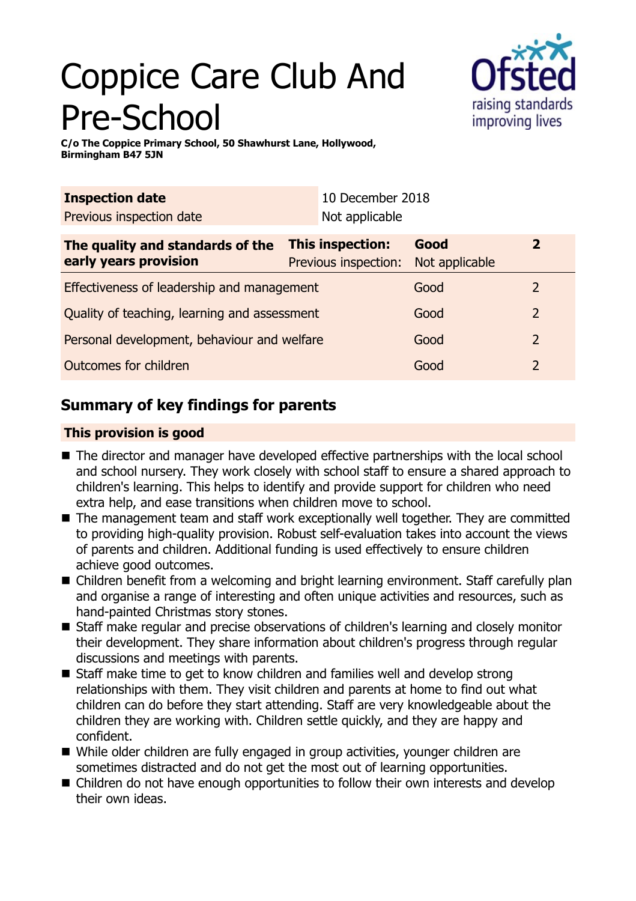# Coppice Care Club And Pre-School



**C/o The Coppice Primary School, 50 Shawhurst Lane, Hollywood, Birmingham B47 5JN**

| <b>Inspection date</b><br>Previous inspection date        |                                                 | 10 December 2018<br>Not applicable |                        |                |
|-----------------------------------------------------------|-------------------------------------------------|------------------------------------|------------------------|----------------|
| The quality and standards of the<br>early years provision | <b>This inspection:</b><br>Previous inspection: |                                    | Good<br>Not applicable | $\overline{2}$ |
| Effectiveness of leadership and management                |                                                 |                                    | Good                   | 2              |
| Quality of teaching, learning and assessment              |                                                 |                                    | Good                   | $\overline{2}$ |
| Personal development, behaviour and welfare               |                                                 |                                    | Good                   | $\overline{2}$ |
| Outcomes for children                                     |                                                 |                                    | Good                   | $\overline{2}$ |

## **Summary of key findings for parents**

## **This provision is good**

- The director and manager have developed effective partnerships with the local school and school nursery. They work closely with school staff to ensure a shared approach to children's learning. This helps to identify and provide support for children who need extra help, and ease transitions when children move to school.
- The management team and staff work exceptionally well together. They are committed to providing high-quality provision. Robust self-evaluation takes into account the views of parents and children. Additional funding is used effectively to ensure children achieve good outcomes.
- Children benefit from a welcoming and bright learning environment. Staff carefully plan and organise a range of interesting and often unique activities and resources, such as hand-painted Christmas story stones.
- Staff make regular and precise observations of children's learning and closely monitor their development. They share information about children's progress through regular discussions and meetings with parents.
- Staff make time to get to know children and families well and develop strong relationships with them. They visit children and parents at home to find out what children can do before they start attending. Staff are very knowledgeable about the children they are working with. Children settle quickly, and they are happy and confident.
- While older children are fully engaged in group activities, younger children are sometimes distracted and do not get the most out of learning opportunities.
- Children do not have enough opportunities to follow their own interests and develop their own ideas.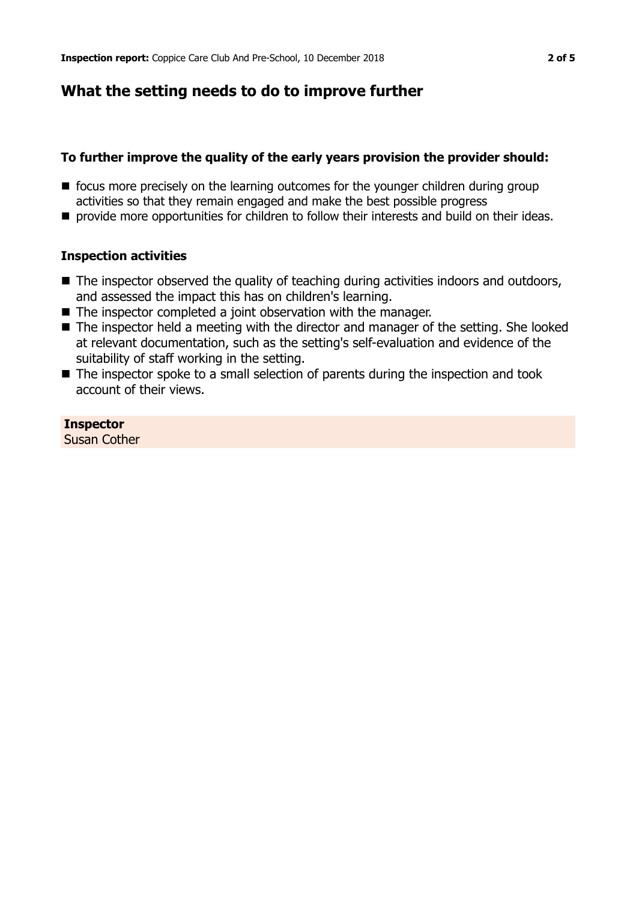## **What the setting needs to do to improve further**

## **To further improve the quality of the early years provision the provider should:**

- $\blacksquare$  focus more precisely on the learning outcomes for the younger children during group activities so that they remain engaged and make the best possible progress
- **n** provide more opportunities for children to follow their interests and build on their ideas.

## **Inspection activities**

- The inspector observed the quality of teaching during activities indoors and outdoors, and assessed the impact this has on children's learning.
- $\blacksquare$  The inspector completed a joint observation with the manager.
- $\blacksquare$  The inspector held a meeting with the director and manager of the setting. She looked at relevant documentation, such as the setting's self-evaluation and evidence of the suitability of staff working in the setting.
- The inspector spoke to a small selection of parents during the inspection and took account of their views.

## **Inspector**

Susan Cother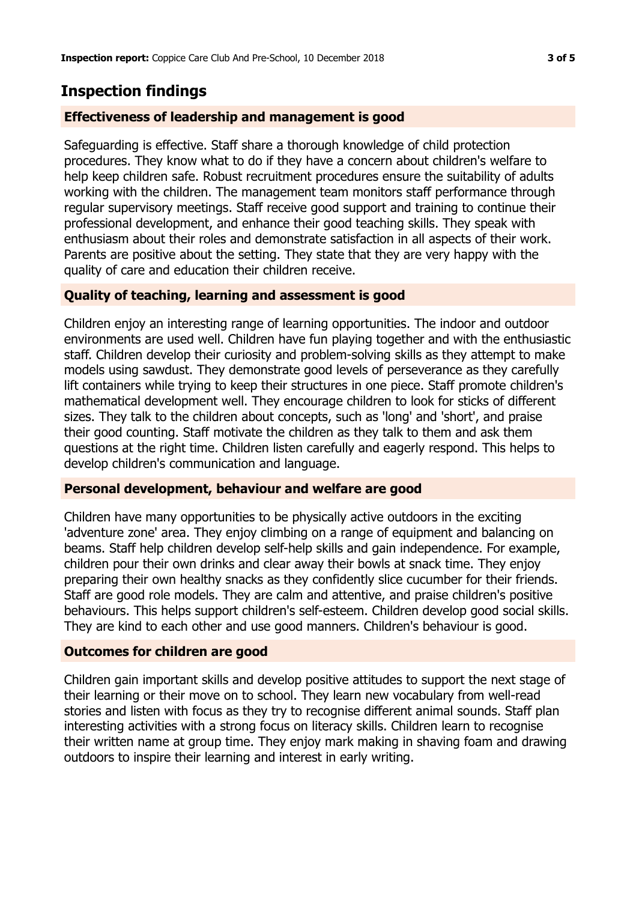## **Inspection findings**

#### **Effectiveness of leadership and management is good**

Safeguarding is effective. Staff share a thorough knowledge of child protection procedures. They know what to do if they have a concern about children's welfare to help keep children safe. Robust recruitment procedures ensure the suitability of adults working with the children. The management team monitors staff performance through regular supervisory meetings. Staff receive good support and training to continue their professional development, and enhance their good teaching skills. They speak with enthusiasm about their roles and demonstrate satisfaction in all aspects of their work. Parents are positive about the setting. They state that they are very happy with the quality of care and education their children receive.

## **Quality of teaching, learning and assessment is good**

Children enjoy an interesting range of learning opportunities. The indoor and outdoor environments are used well. Children have fun playing together and with the enthusiastic staff. Children develop their curiosity and problem-solving skills as they attempt to make models using sawdust. They demonstrate good levels of perseverance as they carefully lift containers while trying to keep their structures in one piece. Staff promote children's mathematical development well. They encourage children to look for sticks of different sizes. They talk to the children about concepts, such as 'long' and 'short', and praise their good counting. Staff motivate the children as they talk to them and ask them questions at the right time. Children listen carefully and eagerly respond. This helps to develop children's communication and language.

#### **Personal development, behaviour and welfare are good**

Children have many opportunities to be physically active outdoors in the exciting 'adventure zone' area. They enjoy climbing on a range of equipment and balancing on beams. Staff help children develop self-help skills and gain independence. For example, children pour their own drinks and clear away their bowls at snack time. They enjoy preparing their own healthy snacks as they confidently slice cucumber for their friends. Staff are good role models. They are calm and attentive, and praise children's positive behaviours. This helps support children's self-esteem. Children develop good social skills. They are kind to each other and use good manners. Children's behaviour is good.

#### **Outcomes for children are good**

Children gain important skills and develop positive attitudes to support the next stage of their learning or their move on to school. They learn new vocabulary from well-read stories and listen with focus as they try to recognise different animal sounds. Staff plan interesting activities with a strong focus on literacy skills. Children learn to recognise their written name at group time. They enjoy mark making in shaving foam and drawing outdoors to inspire their learning and interest in early writing.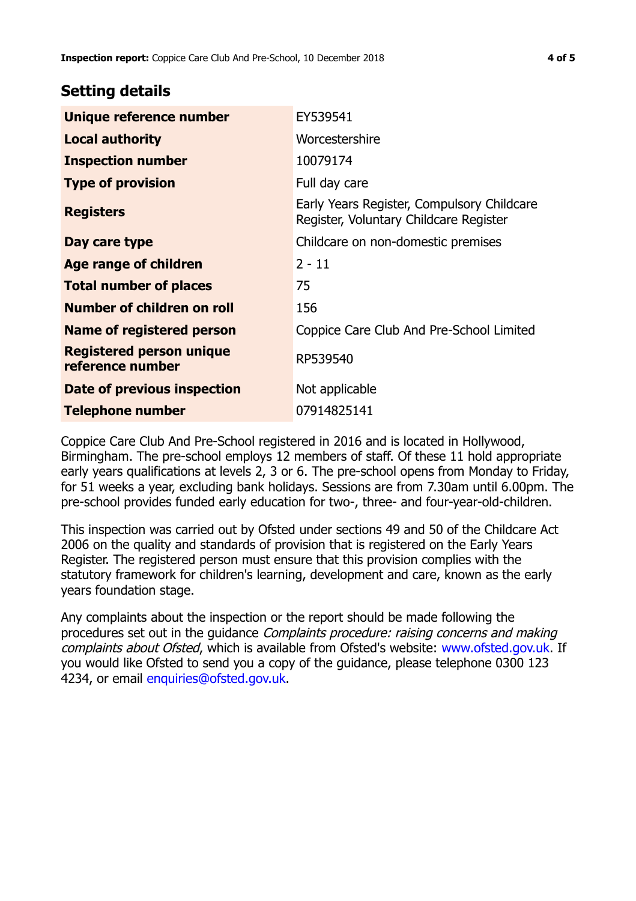## **Setting details**

| Unique reference number                             | EY539541                                                                             |  |
|-----------------------------------------------------|--------------------------------------------------------------------------------------|--|
| <b>Local authority</b>                              | Worcestershire                                                                       |  |
| <b>Inspection number</b>                            | 10079174                                                                             |  |
| <b>Type of provision</b>                            | Full day care                                                                        |  |
| <b>Registers</b>                                    | Early Years Register, Compulsory Childcare<br>Register, Voluntary Childcare Register |  |
| Day care type                                       | Childcare on non-domestic premises                                                   |  |
| Age range of children                               | $2 - 11$                                                                             |  |
| <b>Total number of places</b>                       | 75                                                                                   |  |
| Number of children on roll                          | 156                                                                                  |  |
| Name of registered person                           | Coppice Care Club And Pre-School Limited                                             |  |
| <b>Registered person unique</b><br>reference number | RP539540                                                                             |  |
| Date of previous inspection                         | Not applicable                                                                       |  |
| <b>Telephone number</b>                             | 07914825141                                                                          |  |

Coppice Care Club And Pre-School registered in 2016 and is located in Hollywood, Birmingham. The pre-school employs 12 members of staff. Of these 11 hold appropriate early years qualifications at levels 2, 3 or 6. The pre-school opens from Monday to Friday, for 51 weeks a year, excluding bank holidays. Sessions are from 7.30am until 6.00pm. The pre-school provides funded early education for two-, three- and four-year-old-children.

This inspection was carried out by Ofsted under sections 49 and 50 of the Childcare Act 2006 on the quality and standards of provision that is registered on the Early Years Register. The registered person must ensure that this provision complies with the statutory framework for children's learning, development and care, known as the early years foundation stage.

Any complaints about the inspection or the report should be made following the procedures set out in the guidance Complaints procedure: raising concerns and making complaints about Ofsted, which is available from Ofsted's website: www.ofsted.gov.uk. If you would like Ofsted to send you a copy of the guidance, please telephone 0300 123 4234, or email [enquiries@ofsted.gov.uk.](mailto:enquiries@ofsted.gov.uk)